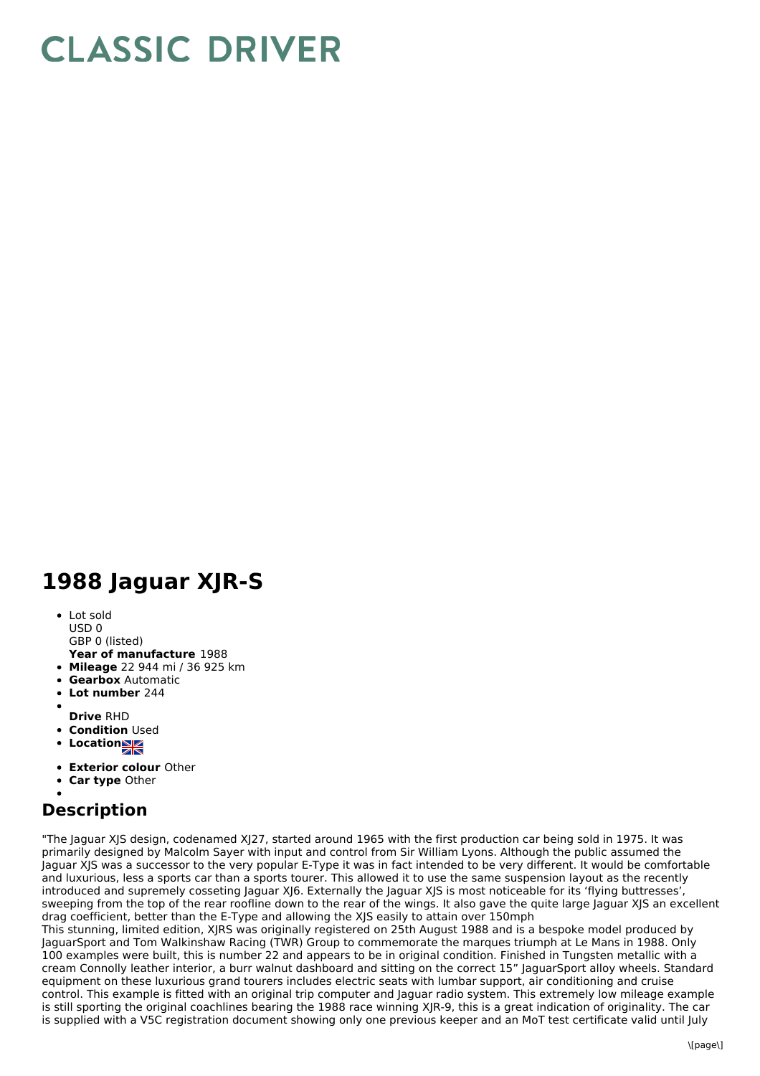## **CLASSIC DRIVER**

## **1988 Jaguar XJR-S**

- Lot sold USD 0
- GBP 0 (listed)
- **Year of manufacture** 1988
- **Mileage** 22 944 mi / 36 925 km
- **Gearbox** Automatic
- **Lot number** 244  $\bullet$
- 
- **Drive** RHD **• Condition Used**
- Location**NE**
- 
- **Exterior colour** Other
- **Car type** Other

## **Description**

"The Jaguar XJS design, codenamed XJ27, started around 1965 with the first production car being sold in 1975. It was primarily designed by Malcolm Sayer with input and control from Sir William Lyons. Although the public assumed the Jaguar XJS was a successor to the very popular E-Type it was in fact intended to be very different. It would be comfortable and luxurious, less a sports car than a sports tourer. This allowed it to use the same suspension layout as the recently introduced and supremely cosseting Jaguar XJ6. Externally the Jaguar XJS is most noticeable for its 'flying buttresses', sweeping from the top of the rear roofline down to the rear of the wings. It also gave the quite large Jaguar XJS an excellent drag coefficient, better than the E-Type and allowing the XJS easily to attain over 150mph

This stunning, limited edition, XJRS was originally registered on 25th August 1988 and is a bespoke model produced by JaguarSport and Tom Walkinshaw Racing (TWR) Group to commemorate the marques triumph at Le Mans in 1988. Only 100 examples were built, this is number 22 and appears to be in original condition. Finished in Tungsten metallic with a cream Connolly leather interior, a burr walnut dashboard and sitting on the correct 15" JaguarSport alloy wheels. Standard equipment on these luxurious grand tourers includes electric seats with lumbar support, air conditioning and cruise control. This example is fitted with an original trip computer and Jaguar radio system. This extremely low mileage example is still sporting the original coachlines bearing the 1988 race winning XJR-9, this is a great indication of originality. The car is supplied with a V5C registration document showing only one previous keeper and an MoT test certificate valid until July